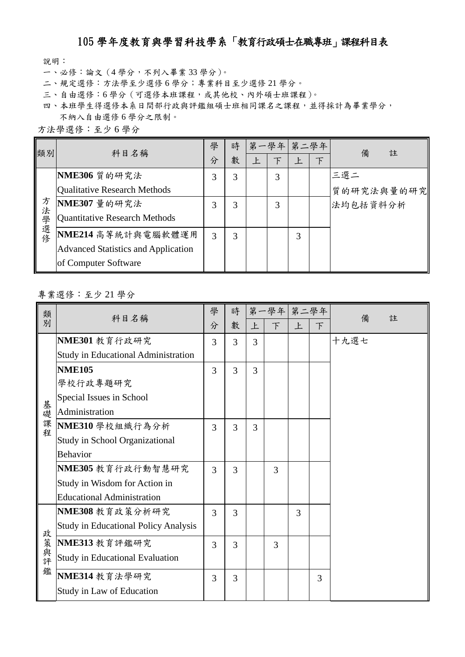## 105 學年度教育與學習科技學系「教育行政碩士在職專班」課程科目表

說明:

- 一、必修:論文(4 學分,不列入畢業 33 學分)。
- 二、規定選修:方法學至少選修 6 學分;專業科目至少選修 21 學分。
- 三、自由選修:6學分(可選修本班課程,或其他校、內外碩士班課程)。
- 四、本班學生得選修本系日間部行政與評鑑組碩士班相同課名之課程,並得採計為畢業學分, 不納入自由選修 6 學分之限制。

| 方法學選修:至少6學分 |  |  |
|-------------|--|--|
|-------------|--|--|

| 類別    | 科目名稱                                       | 學 | 時 |   | 第一學年 | 第二學年 |        | 備<br>註                 |
|-------|--------------------------------------------|---|---|---|------|------|--------|------------------------|
|       |                                            | 分 | 數 | 上 | 下    | 上    | $\top$ |                        |
|       | NME306 質的研究法                               | 3 | 3 |   | 3    |      |        | 三選二                    |
|       | Qualitative Research Methods               |   |   |   |      |      |        | 質的研究法與量的研究<br>法均包括資料分析 |
|       | NME307 量的研究法                               | 3 | 3 |   | 3    |      |        |                        |
| 方法學選修 | <b>Quantitative Research Methods</b>       |   |   |   |      |      |        |                        |
|       | NME214 高等統計與電腦軟體運用                         | 3 | 3 |   |      | 3    |        |                        |
|       | <b>Advanced Statistics and Application</b> |   |   |   |      |      |        |                        |
|       | of Computer Software                       |   |   |   |      |      |        |                        |

專業選修:至少 21 學分

| 類<br>別 | 科目名稱                                        | 學 | 時              |   | 第一學年 第二學年 |   |        | 備<br>註 |
|--------|---------------------------------------------|---|----------------|---|-----------|---|--------|--------|
|        |                                             | 分 | 數              | 上 | $\top$    | 上 | $\top$ |        |
|        | NME301 教育行政研究                               | 3 | $\overline{3}$ | 3 |           |   |        | 十九選七   |
|        | <b>Study in Educational Administration</b>  |   |                |   |           |   |        |        |
|        | <b>NME105</b>                               | 3 | 3              | 3 |           |   |        |        |
|        | 學校行政專題研究                                    |   |                |   |           |   |        |        |
|        | Special Issues in School                    |   |                |   |           |   |        |        |
|        | Administration                              |   |                |   |           |   |        |        |
| 基礎課程   | NME310 學校組織行為分析                             | 3 | 3              | 3 |           |   |        |        |
|        | Study in School Organizational              |   |                |   |           |   |        |        |
|        | <b>Behavior</b>                             |   |                |   |           |   |        |        |
|        | NME305 教育行政行動智慧研究                           | 3 | 3              |   | 3         |   |        |        |
|        | Study in Wisdom for Action in               |   |                |   |           |   |        |        |
|        | <b>Educational Administration</b>           |   |                |   |           |   |        |        |
|        | NME308 教育政策分析研究                             | 3 | 3              |   |           | 3 |        |        |
|        | <b>Study in Educational Policy Analysis</b> |   |                |   |           |   |        |        |
| 政策與評   | NME313 教育評鑑研究                               | 3 | 3              |   | 3         |   |        |        |
|        | <b>Study in Educational Evaluation</b>      |   |                |   |           |   |        |        |
| 鑑      | NME314 教育法學研究                               | 3 | 3              |   |           |   | 3      |        |
|        | Study in Law of Education                   |   |                |   |           |   |        |        |